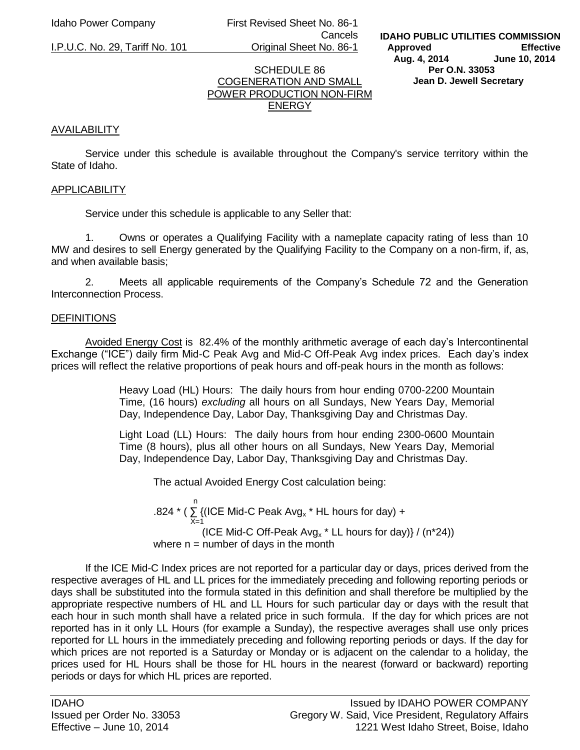Idaho Power Company First Revised Sheet No. 86-1 Cancels

I.P.U.C. No. 29, Tariff No. 101 Original Sheet No. 86-1

**IDAHO PUBLIC UTILITIES COMMISSION Approved Effective Aug. 4, 2014 June 10, 2014 Per O.N. 33053 Jean D. Jewell Secretary** 

## SCHEDULE 86 COGENERATION AND SMALL POWER PRODUCTION NON-FIRM **ENERGY**

## AVAILABILITY

 Service under this schedule is available throughout the Company's service territory within the State of Idaho.

#### APPLICABILITY

Service under this schedule is applicable to any Seller that:

1. Owns or operates a Qualifying Facility with a nameplate capacity rating of less than 10 MW and desires to sell Energy generated by the Qualifying Facility to the Company on a non-firm, if, as, and when available basis;

2. Meets all applicable requirements of the Company's Schedule 72 and the Generation Interconnection Process.

#### **DEFINITIONS**

 Avoided Energy Cost is 82.4% of the monthly arithmetic average of each day's Intercontinental Exchange ("ICE") daily firm Mid-C Peak Avg and Mid-C Off-Peak Avg index prices. Each day's index prices will reflect the relative proportions of peak hours and off-peak hours in the month as follows:

> Heavy Load (HL) Hours: The daily hours from hour ending 0700-2200 Mountain Time, (16 hours) *excluding* all hours on all Sundays, New Years Day, Memorial Day, Independence Day, Labor Day, Thanksgiving Day and Christmas Day.

> Light Load (LL) Hours: The daily hours from hour ending 2300-0600 Mountain Time (8 hours), plus all other hours on all Sundays, New Years Day, Memorial Day, Independence Day, Labor Day, Thanksgiving Day and Christmas Day.

The actual Avoided Energy Cost calculation being:

 n .824  $*$  (  $\Sigma$  {(ICE Mid-C Peak Avg<sub>x</sub>  $*$  HL hours for day) +  $X=1$ (ICE Mid-C Off-Peak Avg<sub>x</sub>  $*$  LL hours for day)  $/ (n \times 24)$ ) where  $n =$  number of days in the month

If the ICE Mid-C Index prices are not reported for a particular day or days, prices derived from the respective averages of HL and LL prices for the immediately preceding and following reporting periods or days shall be substituted into the formula stated in this definition and shall therefore be multiplied by the appropriate respective numbers of HL and LL Hours for such particular day or days with the result that each hour in such month shall have a related price in such formula. If the day for which prices are not reported has in it only LL Hours (for example a Sunday), the respective averages shall use only prices reported for LL hours in the immediately preceding and following reporting periods or days. If the day for which prices are not reported is a Saturday or Monday or is adjacent on the calendar to a holiday, the prices used for HL Hours shall be those for HL hours in the nearest (forward or backward) reporting periods or days for which HL prices are reported.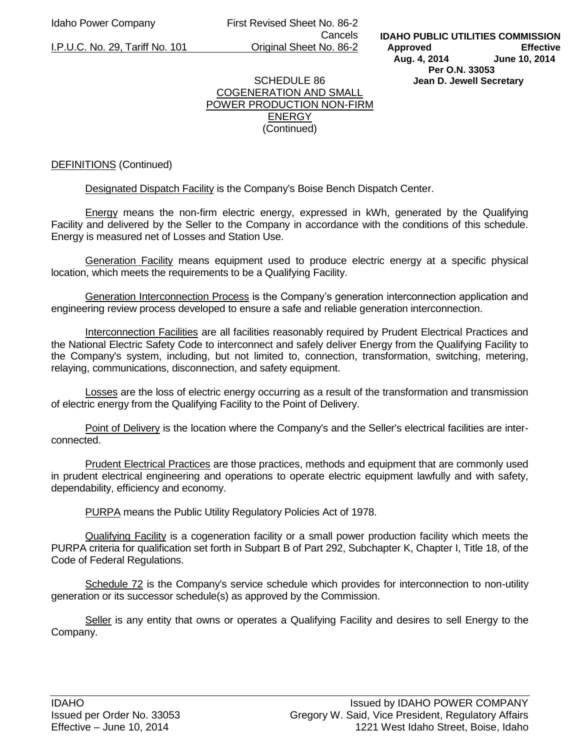Idaho Power Company First Revised Sheet No. 86-2 Cancels I.P.U.C. No. 29, Tariff No. 101 Original Sheet No. 86-2

### SCHEDULE 86 COGENERATION AND SMALL POWER PRODUCTION NON-FIRM ENERGY (Continued)

### DEFINITIONS (Continued)

Designated Dispatch Facility is the Company's Boise Bench Dispatch Center.

 Energy means the non-firm electric energy, expressed in kWh, generated by the Qualifying Facility and delivered by the Seller to the Company in accordance with the conditions of this schedule. Energy is measured net of Losses and Station Use.

Generation Facility means equipment used to produce electric energy at a specific physical location, which meets the requirements to be a Qualifying Facility.

 Generation Interconnection Process is the Company's generation interconnection application and engineering review process developed to ensure a safe and reliable generation interconnection.

 Interconnection Facilities are all facilities reasonably required by Prudent Electrical Practices and the National Electric Safety Code to interconnect and safely deliver Energy from the Qualifying Facility to the Company's system, including, but not limited to, connection, transformation, switching, metering, relaying, communications, disconnection, and safety equipment.

 Losses are the loss of electric energy occurring as a result of the transformation and transmission of electric energy from the Qualifying Facility to the Point of Delivery.

 Point of Delivery is the location where the Company's and the Seller's electrical facilities are interconnected.

 Prudent Electrical Practices are those practices, methods and equipment that are commonly used in prudent electrical engineering and operations to operate electric equipment lawfully and with safety, dependability, efficiency and economy.

PURPA means the Public Utility Regulatory Policies Act of 1978.

Qualifying Facility is a cogeneration facility or a small power production facility which meets the PURPA criteria for qualification set forth in Subpart B of Part 292, Subchapter K, Chapter I, Title 18, of the Code of Federal Regulations.

 Schedule 72 is the Company's service schedule which provides for interconnection to non-utility generation or its successor schedule(s) as approved by the Commission.

Seller is any entity that owns or operates a Qualifying Facility and desires to sell Energy to the Company.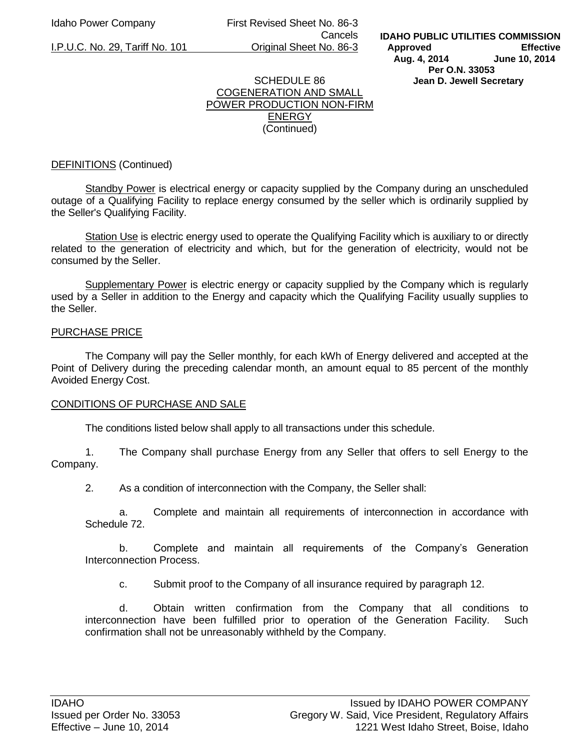Idaho Power Company First Revised Sheet No. 86-3 Cancels I.P.U.C. No. 29, Tariff No. 101 Original Sheet No. 86-3

#### SCHEDULE 86 COGENERATION AND SMALL POWER PRODUCTION NON-FIRM ENERGY (Continued)

## DEFINITIONS (Continued)

Standby Power is electrical energy or capacity supplied by the Company during an unscheduled outage of a Qualifying Facility to replace energy consumed by the seller which is ordinarily supplied by the Seller's Qualifying Facility.

 Station Use is electric energy used to operate the Qualifying Facility which is auxiliary to or directly related to the generation of electricity and which, but for the generation of electricity, would not be consumed by the Seller.

 Supplementary Power is electric energy or capacity supplied by the Company which is regularly used by a Seller in addition to the Energy and capacity which the Qualifying Facility usually supplies to the Seller.

#### PURCHASE PRICE

 The Company will pay the Seller monthly, for each kWh of Energy delivered and accepted at the Point of Delivery during the preceding calendar month, an amount equal to 85 percent of the monthly Avoided Energy Cost.

#### CONDITIONS OF PURCHASE AND SALE

The conditions listed below shall apply to all transactions under this schedule.

1. The Company shall purchase Energy from any Seller that offers to sell Energy to the Company.

2. As a condition of interconnection with the Company, the Seller shall:

a. Complete and maintain all requirements of interconnection in accordance with Schedule 72.

b. Complete and maintain all requirements of the Company's Generation Interconnection Process.

c. Submit proof to the Company of all insurance required by paragraph 12.

d. Obtain written confirmation from the Company that all conditions to interconnection have been fulfilled prior to operation of the Generation Facility. Such confirmation shall not be unreasonably withheld by the Company.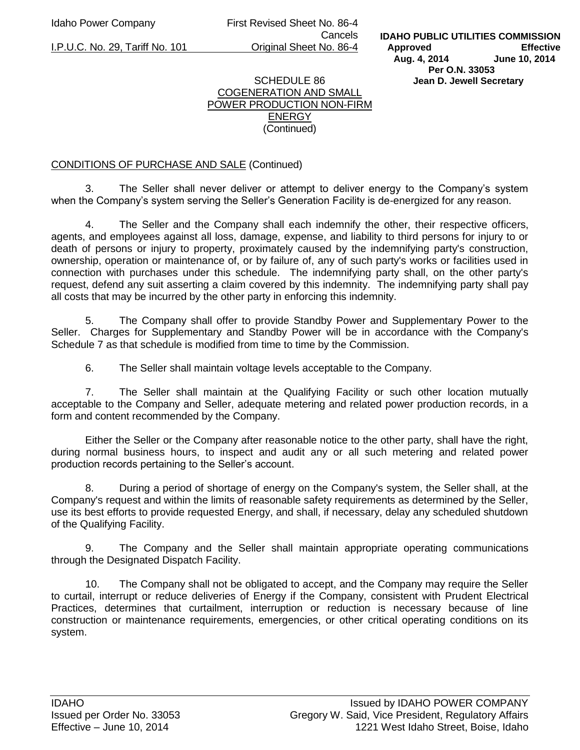Idaho Power Company First Revised Sheet No. 86-4 Cancels I.P.U.C. No. 29, Tariff No. 101 Original Sheet No. 86-4

#### SCHEDULE 86 COGENERATION AND SMALL POWER PRODUCTION NON-FIRM ENERGY (Continued)

# CONDITIONS OF PURCHASE AND SALE (Continued)

3. The Seller shall never deliver or attempt to deliver energy to the Company's system when the Company's system serving the Seller's Generation Facility is de-energized for any reason.

4. The Seller and the Company shall each indemnify the other, their respective officers, agents, and employees against all loss, damage, expense, and liability to third persons for injury to or death of persons or injury to property, proximately caused by the indemnifying party's construction, ownership, operation or maintenance of, or by failure of, any of such party's works or facilities used in connection with purchases under this schedule. The indemnifying party shall, on the other party's request, defend any suit asserting a claim covered by this indemnity. The indemnifying party shall pay all costs that may be incurred by the other party in enforcing this indemnity.

5. The Company shall offer to provide Standby Power and Supplementary Power to the Seller. Charges for Supplementary and Standby Power will be in accordance with the Company's Schedule 7 as that schedule is modified from time to time by the Commission.

6. The Seller shall maintain voltage levels acceptable to the Company.

7. The Seller shall maintain at the Qualifying Facility or such other location mutually acceptable to the Company and Seller, adequate metering and related power production records, in a form and content recommended by the Company.

 Either the Seller or the Company after reasonable notice to the other party, shall have the right, during normal business hours, to inspect and audit any or all such metering and related power production records pertaining to the Seller's account.

8. During a period of shortage of energy on the Company's system, the Seller shall, at the Company's request and within the limits of reasonable safety requirements as determined by the Seller, use its best efforts to provide requested Energy, and shall, if necessary, delay any scheduled shutdown of the Qualifying Facility.

9. The Company and the Seller shall maintain appropriate operating communications through the Designated Dispatch Facility.

10. The Company shall not be obligated to accept, and the Company may require the Seller to curtail, interrupt or reduce deliveries of Energy if the Company, consistent with Prudent Electrical Practices, determines that curtailment, interruption or reduction is necessary because of line construction or maintenance requirements, emergencies, or other critical operating conditions on its system.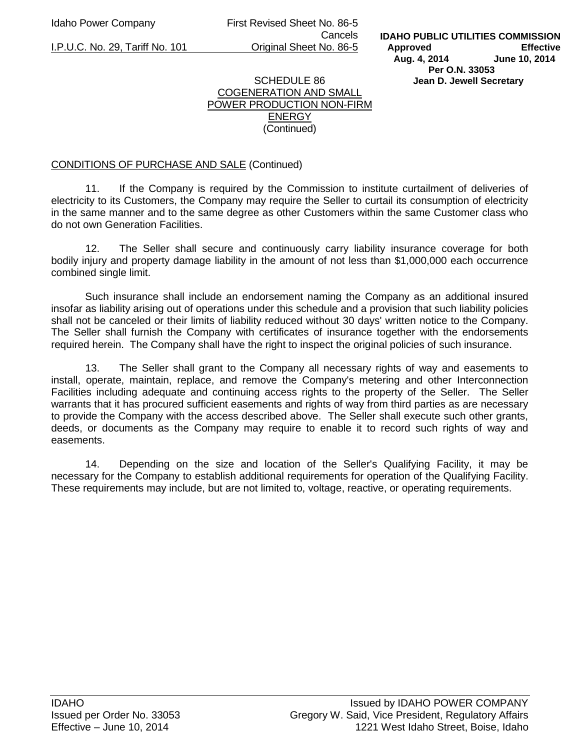Idaho Power Company First Revised Sheet No. 86-5 Cancels I.P.U.C. No. 29, Tariff No. 101 Original Sheet No. 86-5

**IDAHO PUBLIC UTILITIES COMMISSION Approved Effective Aug. 4, 2014 June 10, 2014 Per O.N. 33053 Jean D. Jewell Secretary** 

### SCHEDULE 86 COGENERATION AND SMALL POWER PRODUCTION NON-FIRM ENERGY (Continued)

## CONDITIONS OF PURCHASE AND SALE (Continued)

11. If the Company is required by the Commission to institute curtailment of deliveries of electricity to its Customers, the Company may require the Seller to curtail its consumption of electricity in the same manner and to the same degree as other Customers within the same Customer class who do not own Generation Facilities.

12. The Seller shall secure and continuously carry liability insurance coverage for both bodily injury and property damage liability in the amount of not less than \$1,000,000 each occurrence combined single limit.

 Such insurance shall include an endorsement naming the Company as an additional insured insofar as liability arising out of operations under this schedule and a provision that such liability policies shall not be canceled or their limits of liability reduced without 30 days' written notice to the Company. The Seller shall furnish the Company with certificates of insurance together with the endorsements required herein. The Company shall have the right to inspect the original policies of such insurance.

13. The Seller shall grant to the Company all necessary rights of way and easements to install, operate, maintain, replace, and remove the Company's metering and other Interconnection Facilities including adequate and continuing access rights to the property of the Seller. The Seller warrants that it has procured sufficient easements and rights of way from third parties as are necessary to provide the Company with the access described above. The Seller shall execute such other grants, deeds, or documents as the Company may require to enable it to record such rights of way and easements.

14. Depending on the size and location of the Seller's Qualifying Facility, it may be necessary for the Company to establish additional requirements for operation of the Qualifying Facility. These requirements may include, but are not limited to, voltage, reactive, or operating requirements.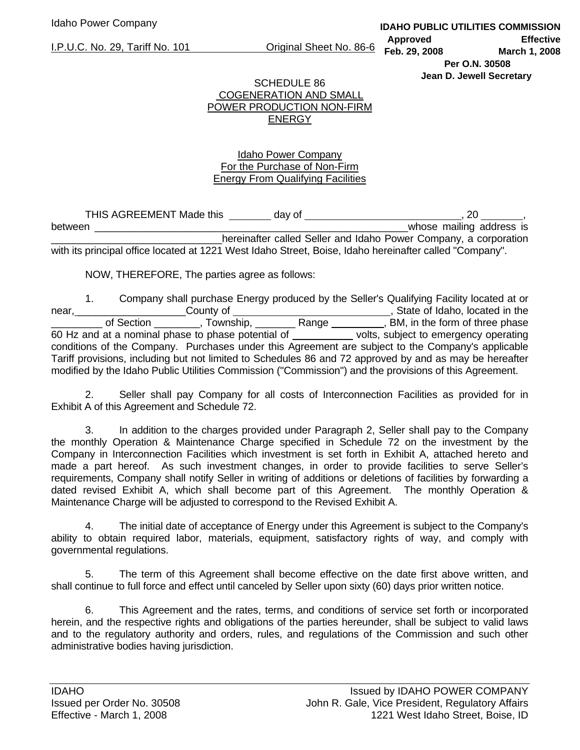I.P.U.C. No. 29, Tariff No. 101 Original Sheet No. 86-6

**IDAHO PUBLIC UTILITIES COMMISSION Approved Effective Feb. 29, 2008 March 1, 2008 Per O.N. 30508 Jean D. Jewell Secretary** 

# SCHEDULE 86 COGENERATION AND SMALL POWER PRODUCTION NON-FIRM ENERGY

# Idaho Power Company For the Purchase of Non-Firm Energy From Qualifying Facilities

|         | THIS AGREEMENT Made this | day of |  |                                                                  |                          |  |
|---------|--------------------------|--------|--|------------------------------------------------------------------|--------------------------|--|
| between |                          |        |  |                                                                  | whose mailing address is |  |
|         |                          |        |  | hereinafter called Seller and Idaho Power Company, a corporation |                          |  |

with its principal office located at 1221 West Idaho Street, Boise, Idaho hereinafter called "Company".

NOW, THEREFORE, The parties agree as follows:

 1. Company shall purchase Energy produced by the Seller's Qualifying Facility located at or near, **Network** County of **County of State of Idaho**, located in the of Section \_\_\_\_\_\_\_, Township, \_\_\_\_\_\_\_\_ Range , BM, in the form of three phase 60 Hz and at a nominal phase to phase potential of volts, subject to emergency operating conditions of the Company. Purchases under this Agreement are subject to the Company's applicable Tariff provisions, including but not limited to Schedules 86 and 72 approved by and as may be hereafter modified by the Idaho Public Utilities Commission ("Commission") and the provisions of this Agreement.

 2. Seller shall pay Company for all costs of Interconnection Facilities as provided for in Exhibit A of this Agreement and Schedule 72.

 3. In addition to the charges provided under Paragraph 2, Seller shall pay to the Company the monthly Operation & Maintenance Charge specified in Schedule 72 on the investment by the Company in Interconnection Facilities which investment is set forth in Exhibit A, attached hereto and made a part hereof. As such investment changes, in order to provide facilities to serve Seller's requirements, Company shall notify Seller in writing of additions or deletions of facilities by forwarding a dated revised Exhibit A, which shall become part of this Agreement. The monthly Operation & Maintenance Charge will be adjusted to correspond to the Revised Exhibit A.

 4. The initial date of acceptance of Energy under this Agreement is subject to the Company's ability to obtain required labor, materials, equipment, satisfactory rights of way, and comply with governmental regulations.

 5. The term of this Agreement shall become effective on the date first above written, and shall continue to full force and effect until canceled by Seller upon sixty (60) days prior written notice.

 6. This Agreement and the rates, terms, and conditions of service set forth or incorporated herein, and the respective rights and obligations of the parties hereunder, shall be subject to valid laws and to the regulatory authority and orders, rules, and regulations of the Commission and such other administrative bodies having jurisdiction.